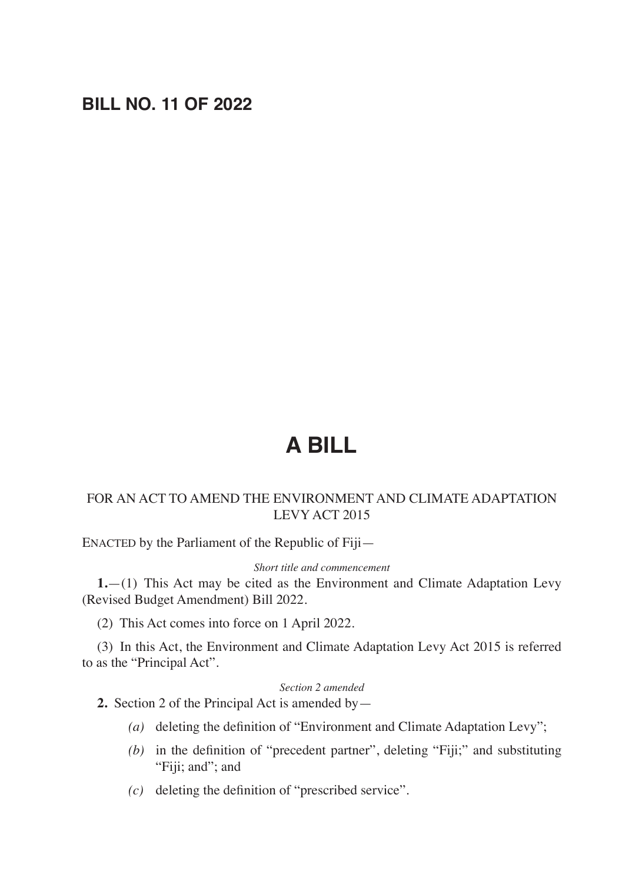# **BILL NO. 11 OF 2022**

# **A BILL**

# FOR AN ACT TO AMEND THE ENVIRONMENT AND CLIMATE ADAPTATION LEVY ACT 2015

ENACTED by the Parliament of the Republic of Fiji—

#### *Short title and commencement*

**1.**—(1) This Act may be cited as the Environment and Climate Adaptation Levy (Revised Budget Amendment) Bill 2022.

(2) This Act comes into force on 1 April 2022.

(3) In this Act, the Environment and Climate Adaptation Levy Act 2015 is referred to as the "Principal Act".

# *Section 2 amended*

**2.** Section 2 of the Principal Act is amended by—

- *(a)* deleting the definition of "Environment and Climate Adaptation Levy";
- *(b)* in the definition of "precedent partner", deleting "Fiji;" and substituting "Fiji; and"; and
- *(c)* deleting the definition of "prescribed service".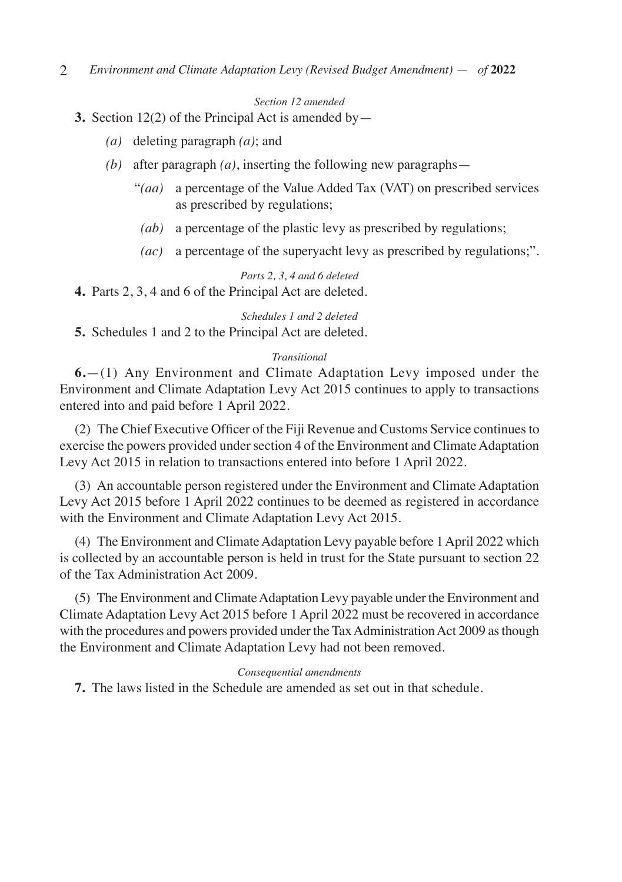#### *Section 12 amended*

## **3.** Section 12(2) of the Principal Act is amended by—

- *(a)* deleting paragraph *(a)*; and
- *(b)* after paragraph *(a)*, inserting the following new paragraphs—
	- "*(aa)* a percentage of the Value Added Tax (VAT) on prescribed services as prescribed by regulations;
	- *(ab)* a percentage of the plastic levy as prescribed by regulations;
	- *(ac)* a percentage of the superyacht levy as prescribed by regulations;".

# *Parts 2, 3, 4 and 6 deleted*

**4.** Parts 2, 3, 4 and 6 of the Principal Act are deleted.

#### *Schedules 1 and 2 deleted*

**5.** Schedules 1 and 2 to the Principal Act are deleted.

#### *Transitional*

**6.**—(1) Any Environment and Climate Adaptation Levy imposed under the Environment and Climate Adaptation Levy Act 2015 continues to apply to transactions entered into and paid before 1 April 2022.

(2) The Chief Executive Officer of the Fiji Revenue and Customs Service continues to exercise the powers provided under section 4 of the Environment and Climate Adaptation Levy Act 2015 in relation to transactions entered into before 1 April 2022.

(3) An accountable person registered under the Environment and Climate Adaptation Levy Act 2015 before 1 April 2022 continues to be deemed as registered in accordance with the Environment and Climate Adaptation Levy Act 2015.

(4) The Environment and Climate Adaptation Levy payable before 1 April 2022 which is collected by an accountable person is held in trust for the State pursuant to section 22 of the Tax Administration Act 2009.

(5) The Environment and Climate Adaptation Levy payable under the Environment and Climate Adaptation Levy Act 2015 before 1 April 2022 must be recovered in accordance with the procedures and powers provided under the Tax Administration Act 2009 as though the Environment and Climate Adaptation Levy had not been removed.

#### *Consequential amendments*

**7.** The laws listed in the Schedule are amended as set out in that schedule.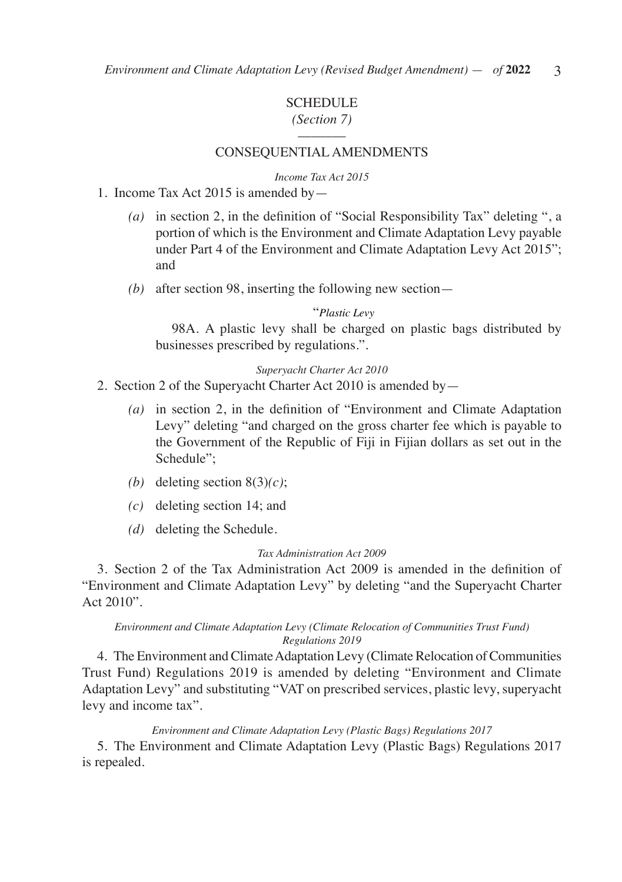# **SCHEDULE**

# *(Section 7)* –––––––

#### CONSEQUENTIAL AMENDMENTS

#### *Income Tax Act 2015*

- 1. Income Tax Act 2015 is amended by—
	- *(a)* in section 2, in the definition of "Social Responsibility Tax" deleting ", a portion of which is the Environment and Climate Adaptation Levy payable under Part 4 of the Environment and Climate Adaptation Levy Act 2015"; and
	- *(b)* after section 98, inserting the following new section—

#### "*Plastic Levy*

 98A. A plastic levy shall be charged on plastic bags distributed by businesses prescribed by regulations.".

#### *Superyacht Charter Act 2010*

- 2. Section 2 of the Superyacht Charter Act 2010 is amended by—
	- *(a)* in section 2, in the definition of "Environment and Climate Adaptation Levy" deleting "and charged on the gross charter fee which is payable to the Government of the Republic of Fiji in Fijian dollars as set out in the Schedule";
	- *(b)* deleting section 8(3)*(c)*;
	- *(c)* deleting section 14; and
	- *(d)* deleting the Schedule.

#### *Tax Administration Act 2009*

3. Section 2 of the Tax Administration Act 2009 is amended in the definition of "Environment and Climate Adaptation Levy" by deleting "and the Superyacht Charter Act 2010".

#### *Environment and Climate Adaptation Levy (Climate Relocation of Communities Trust Fund) Regulations 2019*

4. The Environment and Climate Adaptation Levy (Climate Relocation of Communities Trust Fund) Regulations 2019 is amended by deleting "Environment and Climate Adaptation Levy" and substituting "VAT on prescribed services, plastic levy, superyacht levy and income tax".

#### *Environment and Climate Adaptation Levy (Plastic Bags) Regulations 2017*

5. The Environment and Climate Adaptation Levy (Plastic Bags) Regulations 2017 is repealed.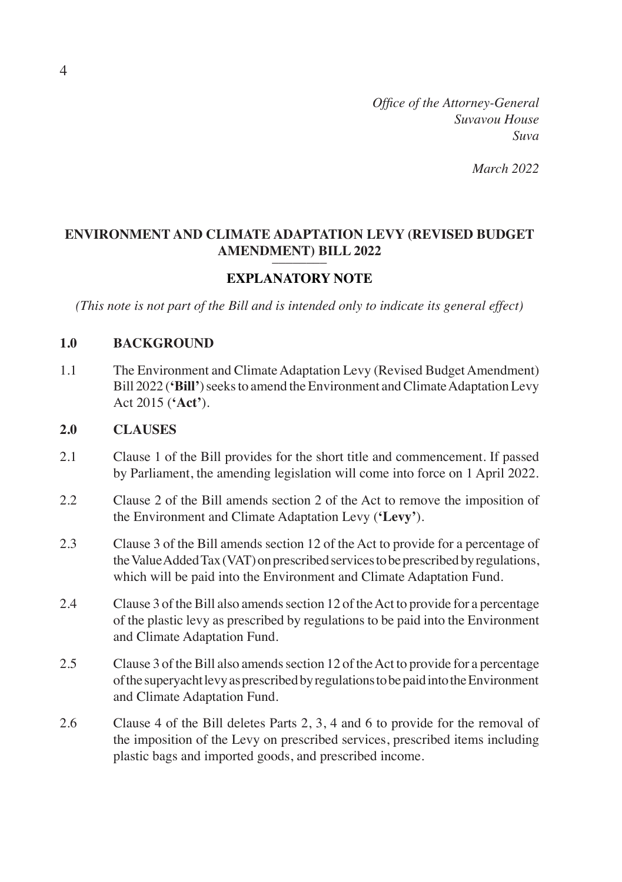*Office of the Attorney-General Suvavou House Suva*

*March 2022*

# **ENVIRONMENT AND CLIMATE ADAPTATION LEVY (REVISED BUDGET AMENDMENT) BILL 2022**

# **EXPLANATORY NOTE**

*(This note is not part of the Bill and is intended only to indicate its general effect)*

### **1.0 BACKGROUND**

1.1 The Environment and Climate Adaptation Levy (Revised Budget Amendment) Bill 2022 (**'Bill'**) seeks to amend the Environment and Climate Adaptation Levy Act 2015 (**'Act'**).

# **2.0 CLAUSES**

- 2.1 Clause 1 of the Bill provides for the short title and commencement. If passed by Parliament, the amending legislation will come into force on 1 April 2022.
- 2.2 Clause 2 of the Bill amends section 2 of the Act to remove the imposition of the Environment and Climate Adaptation Levy (**'Levy'**).
- 2.3 Clause 3 of the Bill amends section 12 of the Act to provide for a percentage of the Value Added Tax (VAT) on prescribed services to be prescribed by regulations, which will be paid into the Environment and Climate Adaptation Fund.
- 2.4 Clause 3 of the Bill also amends section 12 of the Act to provide for a percentage of the plastic levy as prescribed by regulations to be paid into the Environment and Climate Adaptation Fund.
- 2.5 Clause 3 of the Bill also amends section 12 of the Act to provide for a percentage of the superyacht levy as prescribed by regulations to be paid into the Environment and Climate Adaptation Fund.
- 2.6 Clause 4 of the Bill deletes Parts 2, 3, 4 and 6 to provide for the removal of the imposition of the Levy on prescribed services, prescribed items including plastic bags and imported goods, and prescribed income.